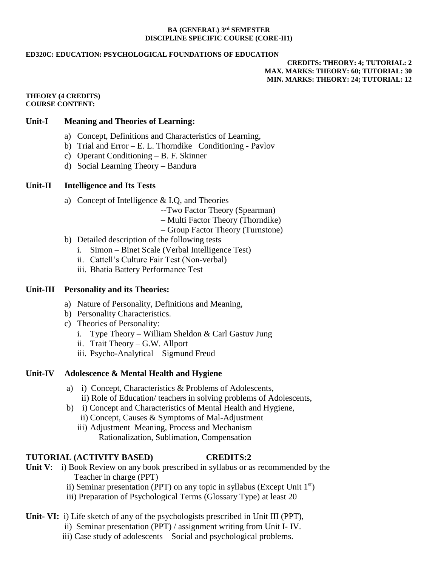#### **BA (GENERAL) 3 rd SEMESTER DISCIPLINE SPECIFIC COURSE (CORE-II1)**

#### **ED320C: EDUCATION: PSYCHOLOGICAL FOUNDATIONS OF EDUCATION**

**CREDITS: THEORY: 4; TUTORIAL: 2 MAX. MARKS: THEORY: 60; TUTORIAL: 30 MIN. MARKS: THEORY: 24; TUTORIAL: 12**

#### **THEORY (4 CREDITS) COURSE CONTENT:**

### **Unit-I Meaning and Theories of Learning:**

- a) Concept, Definitions and Characteristics of Learning,
- b) Trial and Error E. L. Thorndike Conditioning Pavlov
- c) Operant Conditioning B. F. Skinner
- d) Social Learning Theory Bandura

## **Unit-II Intelligence and Its Tests**

- a) Concept of Intelligence  $&$  I.Q, and Theories
	- --Two Factor Theory (Spearman)
	- Multi Factor Theory (Thorndike)
	- Group Factor Theory (Turnstone)
- b) Detailed description of the following tests
	- i. Simon Binet Scale (Verbal Intelligence Test)
	- ii. Cattell's Culture Fair Test (Non-verbal)
	- iii. Bhatia Battery Performance Test

### **Unit-III Personality and its Theories:**

- a) Nature of Personality, Definitions and Meaning,
- b) Personality Characteristics.
- c) Theories of Personality:
	- i. Type Theory William Sheldon & Carl Gastuv Jung
	- ii. Trait Theory G.W. Allport
	- iii. Psycho-Analytical Sigmund Freud

### **Unit-IV Adolescence & Mental Health and Hygiene**

- a) i) Concept, Characteristics & Problems of Adolescents, ii) Role of Education/ teachers in solving problems of Adolescents,
- b) i) Concept and Characteristics of Mental Health and Hygiene,
	- ii) Concept, Causes & Symptoms of Mal-Adjustment
	- iii) Adjustment–Meaning, Process and Mechanism Rationalization, Sublimation, Compensation

# **TUTORIAL (ACTIVITY BASED) CREDITS:2**

- **Unit V**: i) Book Review on any book prescribed in syllabus or as recommended by the Teacher in charge (PPT)
	- ii) Seminar presentation (PPT) on any topic in syllabus (Except Unit  $1<sup>st</sup>$ )
	- iii) Preparation of Psychological Terms (Glossary Type) at least 20

# **Unit- VI:** i) Life sketch of any of the psychologists prescribed in Unit III (PPT),

- ii) Seminar presentation (PPT) / assignment writing from Unit I- IV.
- iii) Case study of adolescents Social and psychological problems.